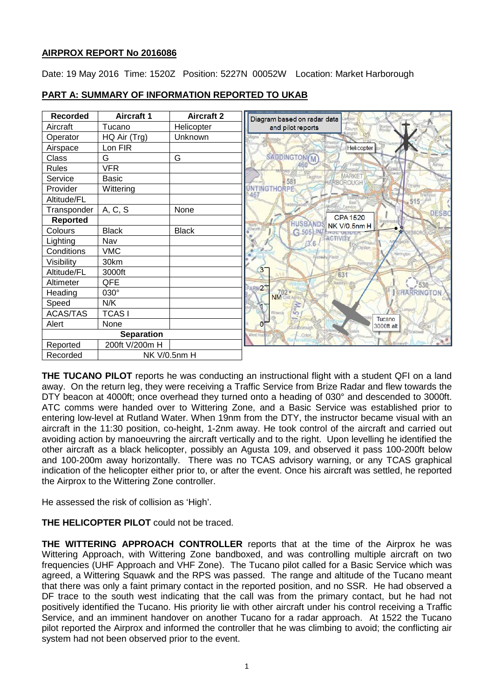# **AIRPROX REPORT No 2016086**

Date: 19 May 2016 Time: 1520Z Position: 5227N 00052W Location: Market Harborough

| <b>Recorded</b>   | <b>Aircraft 1</b> | <b>Aircraft 2</b> |
|-------------------|-------------------|-------------------|
| Aircraft          | Tucano            | Helicopter        |
| Operator          | HQ Air (Trg)      | Unknown           |
| Airspace          | Lon FIR           |                   |
| Class             | G                 | G                 |
| <b>Rules</b>      | <b>VFR</b>        |                   |
| Service           | <b>Basic</b>      |                   |
| Provider          | Wittering         |                   |
| Altitude/FL       |                   |                   |
| Transponder       | A, C, S           | None              |
| <b>Reported</b>   |                   |                   |
| Colours           | <b>Black</b>      | <b>Black</b>      |
| Lighting          | Nav               |                   |
| Conditions        | <b>VMC</b>        |                   |
| Visibility        | 30km              |                   |
| Altitude/FL       | 3000ft            |                   |
| Altimeter         | QFE               |                   |
| Heading           | 030°              |                   |
| Speed             | N/K               |                   |
| <b>ACAS/TAS</b>   | <b>TCAS1</b>      |                   |
| Alert             | None              |                   |
| <b>Separation</b> |                   |                   |
| Reported          | 200ft V/200m H    |                   |
| Recorded          |                   | NK V/0.5nm H      |

# **PART A: SUMMARY OF INFORMATION REPORTED TO UKAB**

**THE TUCANO PILOT** reports he was conducting an instructional flight with a student QFI on a land away. On the return leg, they were receiving a Traffic Service from Brize Radar and flew towards the DTY beacon at 4000ft; once overhead they turned onto a heading of 030° and descended to 3000ft. ATC comms were handed over to Wittering Zone, and a Basic Service was established prior to entering low-level at Rutland Water. When 19nm from the DTY, the instructor became visual with an aircraft in the 11:30 position, co-height, 1-2nm away. He took control of the aircraft and carried out avoiding action by manoeuvring the aircraft vertically and to the right. Upon levelling he identified the other aircraft as a black helicopter, possibly an Agusta 109, and observed it pass 100-200ft below and 100-200m away horizontally. There was no TCAS advisory warning, or any TCAS graphical indication of the helicopter either prior to, or after the event. Once his aircraft was settled, he reported the Airprox to the Wittering Zone controller.

He assessed the risk of collision as 'High'.

# **THE HELICOPTER PILOT** could not be traced.

**THE WITTERING APPROACH CONTROLLER** reports that at the time of the Airprox he was Wittering Approach, with Wittering Zone bandboxed, and was controlling multiple aircraft on two frequencies (UHF Approach and VHF Zone). The Tucano pilot called for a Basic Service which was agreed, a Wittering Squawk and the RPS was passed. The range and altitude of the Tucano meant that there was only a faint primary contact in the reported position, and no SSR. He had observed a DF trace to the south west indicating that the call was from the primary contact, but he had not positively identified the Tucano. His priority lie with other aircraft under his control receiving a Traffic Service, and an imminent handover on another Tucano for a radar approach. At 1522 the Tucano pilot reported the Airprox and informed the controller that he was climbing to avoid; the conflicting air system had not been observed prior to the event.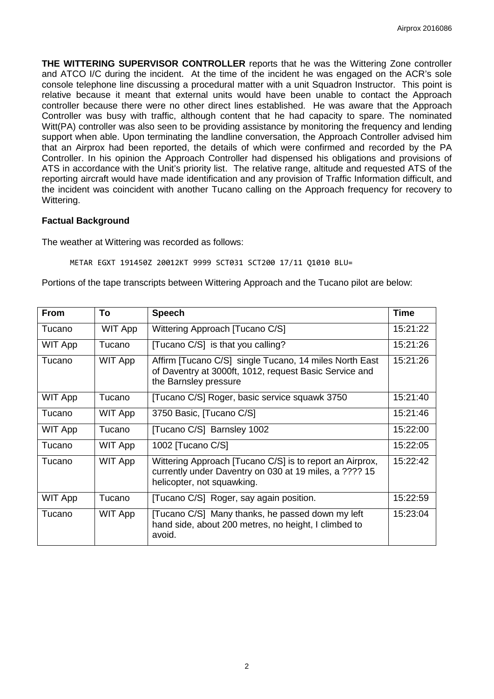**THE WITTERING SUPERVISOR CONTROLLER** reports that he was the Wittering Zone controller and ATCO I/C during the incident. At the time of the incident he was engaged on the ACR's sole console telephone line discussing a procedural matter with a unit Squadron Instructor. This point is relative because it meant that external units would have been unable to contact the Approach controller because there were no other direct lines established. He was aware that the Approach Controller was busy with traffic, although content that he had capacity to spare. The nominated Witt(PA) controller was also seen to be providing assistance by monitoring the frequency and lending support when able. Upon terminating the landline conversation, the Approach Controller advised him that an Airprox had been reported, the details of which were confirmed and recorded by the PA Controller. In his opinion the Approach Controller had dispensed his obligations and provisions of ATS in accordance with the Unit's priority list. The relative range, altitude and requested ATS of the reporting aircraft would have made identification and any provision of Traffic Information difficult, and the incident was coincident with another Tucano calling on the Approach frequency for recovery to Wittering.

#### **Factual Background**

The weather at Wittering was recorded as follows:

METAR EGXT 191450Z 20012KT 9999 SCT031 SCT200 17/11 Q1010 BLU=

Portions of the tape transcripts between Wittering Approach and the Tucano pilot are below:

| <b>From</b>    | To      | <b>Speech</b>                                                                                                                                    | <b>Time</b> |
|----------------|---------|--------------------------------------------------------------------------------------------------------------------------------------------------|-------------|
| Tucano         | WIT App | Wittering Approach [Tucano C/S]                                                                                                                  | 15:21:22    |
| WIT App        | Tucano  | [Tucano C/S] is that you calling?                                                                                                                | 15:21:26    |
| Tucano         | WIT App | Affirm [Tucano C/S] single Tucano, 14 miles North East<br>of Daventry at 3000ft, 1012, request Basic Service and<br>the Barnsley pressure        | 15:21:26    |
| <b>WIT App</b> | Tucano  | [Tucano C/S] Roger, basic service squawk 3750                                                                                                    | 15:21:40    |
| Tucano         | WIT App | 3750 Basic, [Tucano C/S]                                                                                                                         | 15:21:46    |
| WIT App        | Tucano  | [Tucano C/S] Barnsley 1002                                                                                                                       | 15:22:00    |
| Tucano         | WIT App | 1002 [Tucano C/S]                                                                                                                                | 15:22:05    |
| Tucano         | WIT App | Wittering Approach [Tucano C/S] is to report an Airprox,<br>currently under Daventry on 030 at 19 miles, a ???? 15<br>helicopter, not squawking. |             |
| <b>WIT App</b> | Tucano  | [Tucano C/S] Roger, say again position.                                                                                                          | 15:22:59    |
| Tucano         | WIT App | [Tucano C/S] Many thanks, he passed down my left<br>hand side, about 200 metres, no height, I climbed to<br>avoid.                               |             |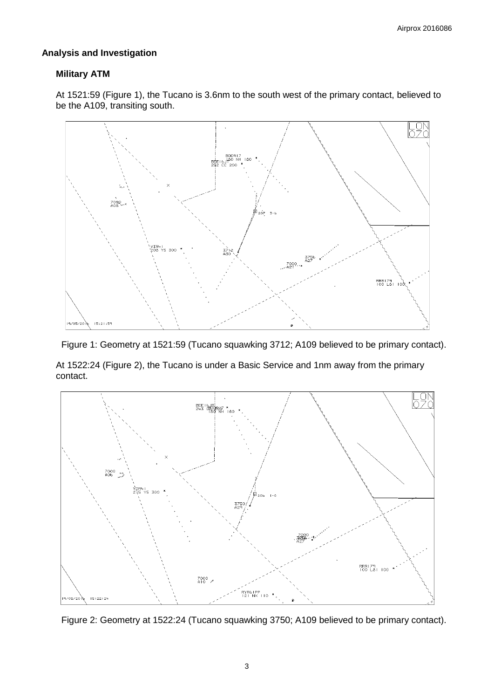### **Analysis and Investigation**

## **Military ATM**

At 1521:59 (Figure 1), the Tucano is 3.6nm to the south west of the primary contact, believed to be the A109, transiting south.





At 1522:24 (Figure 2), the Tucano is under a Basic Service and 1nm away from the primary contact.



Figure 2: Geometry at 1522:24 (Tucano squawking 3750; A109 believed to be primary contact).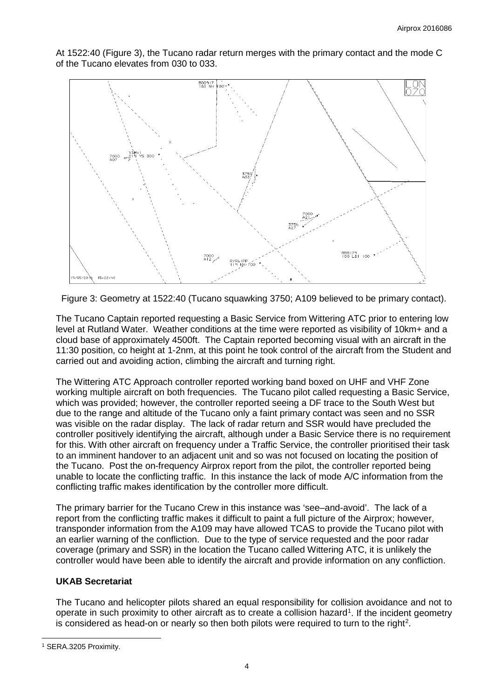

At 1522:40 (Figure 3), the Tucano radar return merges with the primary contact and the mode C of the Tucano elevates from 030 to 033.

Figure 3: Geometry at 1522:40 (Tucano squawking 3750; A109 believed to be primary contact).

The Tucano Captain reported requesting a Basic Service from Wittering ATC prior to entering low level at Rutland Water. Weather conditions at the time were reported as visibility of 10km+ and a cloud base of approximately 4500ft. The Captain reported becoming visual with an aircraft in the 11:30 position, co height at 1-2nm, at this point he took control of the aircraft from the Student and carried out and avoiding action, climbing the aircraft and turning right.

The Wittering ATC Approach controller reported working band boxed on UHF and VHF Zone working multiple aircraft on both frequencies. The Tucano pilot called requesting a Basic Service, which was provided; however, the controller reported seeing a DF trace to the South West but due to the range and altitude of the Tucano only a faint primary contact was seen and no SSR was visible on the radar display. The lack of radar return and SSR would have precluded the controller positively identifying the aircraft, although under a Basic Service there is no requirement for this. With other aircraft on frequency under a Traffic Service, the controller prioritised their task to an imminent handover to an adjacent unit and so was not focused on locating the position of the Tucano. Post the on-frequency Airprox report from the pilot, the controller reported being unable to locate the conflicting traffic. In this instance the lack of mode A/C information from the conflicting traffic makes identification by the controller more difficult.

The primary barrier for the Tucano Crew in this instance was 'see–and-avoid'. The lack of a report from the conflicting traffic makes it difficult to paint a full picture of the Airprox; however, transponder information from the A109 may have allowed TCAS to provide the Tucano pilot with an earlier warning of the confliction. Due to the type of service requested and the poor radar coverage (primary and SSR) in the location the Tucano called Wittering ATC, it is unlikely the controller would have been able to identify the aircraft and provide information on any confliction.

## **UKAB Secretariat**

The Tucano and helicopter pilots shared an equal responsibility for collision avoidance and not to operate in such proximity to other aircraft as to create a collision hazard<sup>[1](#page-3-0)</sup>. If the incident geometry is considered as head-on or nearly so then both pilots were required to turn to the right<sup>[2](#page-3-0)</sup>.

 $\overline{\phantom{a}}$ 

<span id="page-3-0"></span><sup>1</sup> SERA.3205 Proximity.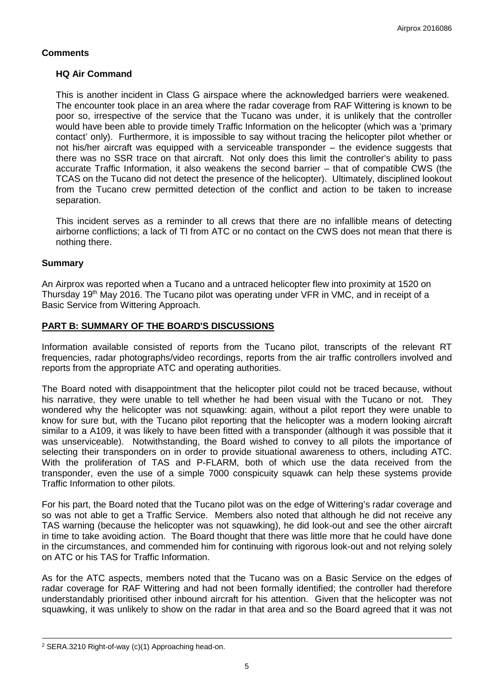# **Comments**

## **HQ Air Command**

This is another incident in Class G airspace where the acknowledged barriers were weakened. The encounter took place in an area where the radar coverage from RAF Wittering is known to be poor so, irrespective of the service that the Tucano was under, it is unlikely that the controller would have been able to provide timely Traffic Information on the helicopter (which was a 'primary contact' only). Furthermore, it is impossible to say without tracing the helicopter pilot whether or not his/her aircraft was equipped with a serviceable transponder – the evidence suggests that there was no SSR trace on that aircraft. Not only does this limit the controller's ability to pass accurate Traffic Information, it also weakens the second barrier – that of compatible CWS (the TCAS on the Tucano did not detect the presence of the helicopter). Ultimately, disciplined lookout from the Tucano crew permitted detection of the conflict and action to be taken to increase separation.

This incident serves as a reminder to all crews that there are no infallible means of detecting airborne conflictions; a lack of TI from ATC or no contact on the CWS does not mean that there is nothing there.

#### **Summary**

An Airprox was reported when a Tucano and a untraced helicopter flew into proximity at 1520 on Thursday 19<sup>th</sup> May 2016. The Tucano pilot was operating under VFR in VMC, and in receipt of a Basic Service from Wittering Approach.

## **PART B: SUMMARY OF THE BOARD'S DISCUSSIONS**

Information available consisted of reports from the Tucano pilot, transcripts of the relevant RT frequencies, radar photographs/video recordings, reports from the air traffic controllers involved and reports from the appropriate ATC and operating authorities.

The Board noted with disappointment that the helicopter pilot could not be traced because, without his narrative, they were unable to tell whether he had been visual with the Tucano or not. They wondered why the helicopter was not squawking: again, without a pilot report they were unable to know for sure but, with the Tucano pilot reporting that the helicopter was a modern looking aircraft similar to a A109, it was likely to have been fitted with a transponder (although it was possible that it was unserviceable). Notwithstanding, the Board wished to convey to all pilots the importance of selecting their transponders on in order to provide situational awareness to others, including ATC. With the proliferation of TAS and P-FLARM, both of which use the data received from the transponder, even the use of a simple 7000 conspicuity squawk can help these systems provide Traffic Information to other pilots.

For his part, the Board noted that the Tucano pilot was on the edge of Wittering's radar coverage and so was not able to get a Traffic Service. Members also noted that although he did not receive any TAS warning (because the helicopter was not squawking), he did look-out and see the other aircraft in time to take avoiding action. The Board thought that there was little more that he could have done in the circumstances, and commended him for continuing with rigorous look-out and not relying solely on ATC or his TAS for Traffic Information.

As for the ATC aspects, members noted that the Tucano was on a Basic Service on the edges of radar coverage for RAF Wittering and had not been formally identified; the controller had therefore understandably prioritised other inbound aircraft for his attention. Given that the helicopter was not squawking, it was unlikely to show on the radar in that area and so the Board agreed that it was not

 $\overline{\phantom{a}}$ 

<sup>2</sup> SERA.3210 Right-of-way (c)(1) Approaching head-on.